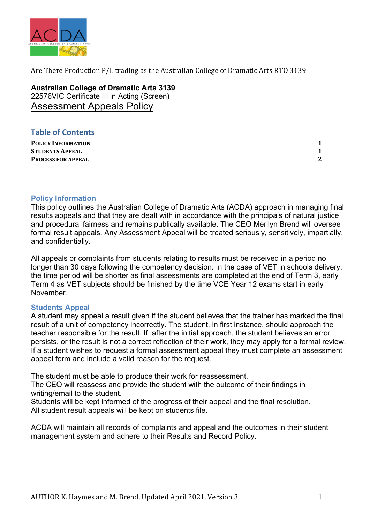

**Australian College of Dramatic Arts 3139** 22576VIC Certificate III in Acting (Screen) Assessment Appeals Policy

## **Table of Contents**

**POLICY INFORMATION 1 STUDENTS APPEAL 1 PROCESS FOR APPEAL** 2

### **Policy Information**

This policy outlines the Australian College of Dramatic Arts (ACDA) approach in managing final results appeals and that they are dealt with in accordance with the principals of natural justice and procedural fairness and remains publically available. The CEO Merilyn Brend will oversee formal result appeals. Any Assessment Appeal will be treated seriously, sensitively, impartially, and confidentially.

All appeals or complaints from students relating to results must be received in a period no longer than 30 days following the competency decision. In the case of VET in schools delivery, the time period will be shorter as final assessments are completed at the end of Term 3, early Term 4 as VET subjects should be finished by the time VCE Year 12 exams start in early November.

### **Students Appeal**

A student may appeal a result given if the student believes that the trainer has marked the final result of a unit of competency incorrectly. The student, in first instance, should approach the teacher responsible for the result. If, after the initial approach, the student believes an error persists, or the result is not a correct reflection of their work, they may apply for a formal review. If a student wishes to request a formal assessment appeal they must complete an assessment appeal form and include a valid reason for the request.

The student must be able to produce their work for reassessment.

The CEO will reassess and provide the student with the outcome of their findings in writing/email to the student.

Students will be kept informed of the progress of their appeal and the final resolution. All student result appeals will be kept on students file.

ACDA will maintain all records of complaints and appeal and the outcomes in their student management system and adhere to their Results and Record Policy.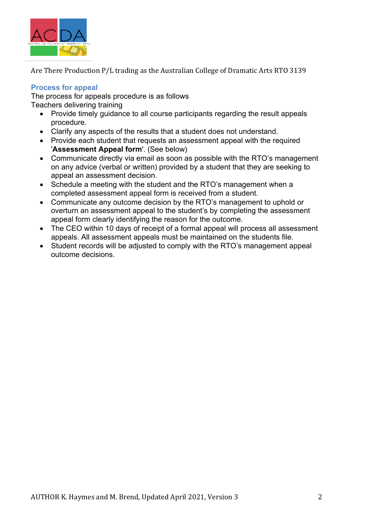

## **Process for appeal**

The process for appeals procedure is as follows

Teachers delivering training

- Provide timely guidance to all course participants regarding the result appeals procedure.
- Clarify any aspects of the results that a student does not understand.
- Provide each student that requests an assessment appeal with the required '**Assessment Appeal form**'. (See below)
- Communicate directly via email as soon as possible with the RTO's management on any advice (verbal or written) provided by a student that they are seeking to appeal an assessment decision.
- Schedule a meeting with the student and the RTO's management when a completed assessment appeal form is received from a student.
- Communicate any outcome decision by the RTO's management to uphold or overturn an assessment appeal to the student's by completing the assessment appeal form clearly identifying the reason for the outcome.
- The CEO within 10 days of receipt of a formal appeal will process all assessment appeals. All assessment appeals must be maintained on the students file.
- Student records will be adjusted to comply with the RTO's management appeal outcome decisions.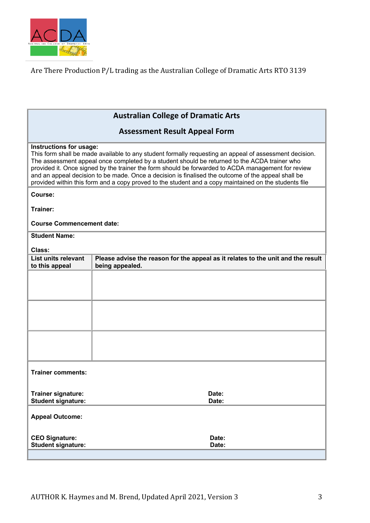

# **Australian College of Dramatic Arts**

## **Assessment Result Appeal Form**

### **Instructions for usage:**

This form shall be made available to any student formally requesting an appeal of assessment decision. The assessment appeal once completed by a student should be returned to the ACDA trainer who provided it. Once signed by the trainer the form should be forwarded to ACDA management for review and an appeal decision to be made. Once a decision is finalised the outcome of the appeal shall be provided within this form and a copy proved to the student and a copy maintained on the students file

### **Course:**

**Trainer:** 

### **Course Commencement date:**

**Student Name:** 

| . .<br>×<br>۰.<br>×<br>۰.<br>۰.<br>× |
|--------------------------------------|
|--------------------------------------|

| Class:                                                 |                                                                                                     |
|--------------------------------------------------------|-----------------------------------------------------------------------------------------------------|
| List units relevant<br>to this appeal                  | Please advise the reason for the appeal as it relates to the unit and the result<br>being appealed. |
|                                                        |                                                                                                     |
|                                                        |                                                                                                     |
|                                                        |                                                                                                     |
|                                                        |                                                                                                     |
|                                                        |                                                                                                     |
|                                                        |                                                                                                     |
| <b>Trainer comments:</b>                               |                                                                                                     |
| <b>Trainer signature:</b><br><b>Student signature:</b> | Date:<br>Date:                                                                                      |
| <b>Appeal Outcome:</b>                                 |                                                                                                     |
| <b>CEO Signature:</b><br><b>Student signature:</b>     | Date:<br>Date:                                                                                      |
|                                                        |                                                                                                     |